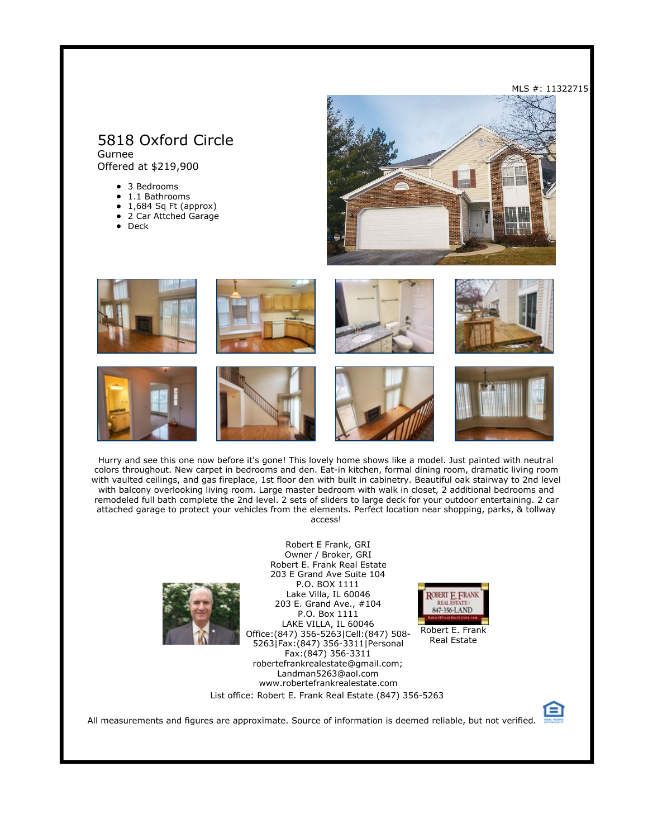# 5818 Oxford Circle

Gurnee Offered at \$219,900

- 3 Bedrooms
- $\bullet$  1.1 Bathrooms  $\bullet$
- 1,684 Sq Ft (approx) 2 Car Attched Garage
- Deck













Hurry and see this one now before it's gone! This lovely home shows like a model. Just painted with neutral colors throughout. New carpet in bedrooms and den. Eat-in kitchen, formal dining room, dramatic living room with vaulted ceilings, and gas fireplace, 1st floor den with built in cabinetry. Beautiful oak stairway to 2nd level with balcony overlooking living room. Large master bedroom with walk in closet, 2 additional bedrooms and remodeled full bath complete the 2nd level. 2 sets of sliders to large deck for your outdoor entertaining. 2 car attached garage to protect your vehicles from the elements. Perfect location near shopping, parks, & tollway access!

> Robert E Frank, GRI Owner / Broker, GRI



Robert E. Frank Real Estate 203 E Grand Ave Suite 104 P.O. BOX 1111 Lake Villa, IL 60046 203 E. Grand Ave., #104 P.O. Box 1111 LAKE VILLA, IL 60046 Office:(847) 356-5263|Cell:(847) 508- 5263|Fax:(847) 356-3311|Personal Fax:(847) 356-3311 robertefrankrealestate@gmail.com; Landman5263@aol.com www.robertefrankrealestate.com List office: Robert E. Frank Real Estate (847) 356-5263



Robert E. Frank Real Estate



All measurements and figures are approximate. Source of information is deemed reliable, but not verified.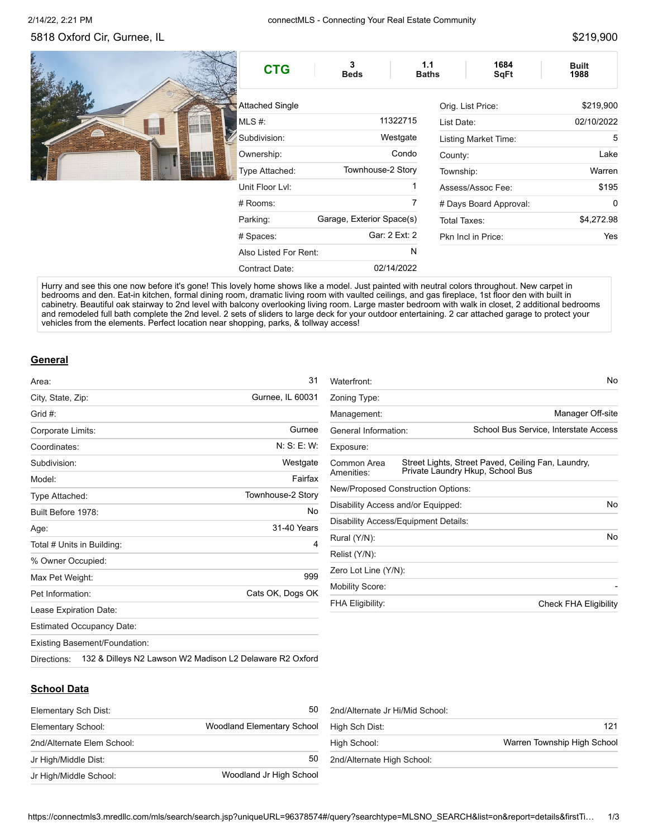# 5818 Oxford Cir, Gurnee, IL \$219,900

| <b>CTG</b>            | 3<br><b>Beds</b>          | 1684<br>1.1<br><b>SqFt</b><br><b>Baths</b> | <b>Built</b><br>1988 |
|-----------------------|---------------------------|--------------------------------------------|----------------------|
| Attached Single       |                           | Orig. List Price:                          | \$219,900            |
| MLS #:                | 11322715                  | List Date:                                 | 02/10/2022           |
| Subdivision:          | Westgate                  | Listing Market Time:                       | 5                    |
| Ownership:            | Condo                     | County:                                    | Lake                 |
| Type Attached:        | Townhouse-2 Story         | Township:                                  | Warren               |
| Unit Floor Lvl:       | 1                         | Assess/Assoc Fee:                          | \$195                |
| $#$ Rooms:            | 7                         | # Days Board Approval:                     | 0                    |
| Parking:              | Garage, Exterior Space(s) | \$4,272.98<br>Total Taxes:                 |                      |
| # Spaces:             | Gar: 2 Ext: 2             | Pkn Incl in Price:                         | <b>Yes</b>           |
| Also Listed For Rent: | N                         |                                            |                      |
| Contract Date:        | 02/14/2022                |                                            |                      |

Hurry and see this one now before it's gone! This lovely home shows like a model. Just painted with neutral colors throughout. New carpet in bedrooms and den. Eat-in kitchen, formal dining room, dramatic living room with vaulted ceilings, and gas fireplace, 1st floor den with built in cabinetry. Beautiful oak stairway to 2nd level with balcony overlooking living room. Large master bedroom with walk in closet, 2 additional bedrooms and remodeled full bath complete the 2nd level. 2 sets of sliders to large deck for your outdoor entertaining. 2 car attached garage to protect your vehicles from the elements. Perfect location near shopping, parks, & tollway access!

#### **General**

| Area:                                | 31                                                       |
|--------------------------------------|----------------------------------------------------------|
| City, State, Zip:                    | Gurnee, IL 60031                                         |
| Grid #:                              |                                                          |
| Corporate Limits:                    | Gurnee                                                   |
| Coordinates:                         | N: S: E: W:                                              |
| Subdivision:                         | Westgate                                                 |
| Model:                               | Fairfax                                                  |
| Type Attached:                       | Townhouse-2 Story                                        |
| Built Before 1978:                   | No                                                       |
| Age:                                 | 31-40 Years                                              |
| Total # Units in Building:           | 4                                                        |
| % Owner Occupied:                    |                                                          |
| Max Pet Weight:                      | 999                                                      |
| Pet Information:                     | Cats OK, Dogs OK                                         |
| Lease Expiration Date:               |                                                          |
| <b>Estimated Occupancy Date:</b>     |                                                          |
| <b>Existing Basement/Foundation:</b> |                                                          |
| Directions:                          | 132 & Dilleys N2 Lawson W2 Madison L2 Delaware R2 Oxford |

| Waterfront:               |                                      | No.                                                                                    |
|---------------------------|--------------------------------------|----------------------------------------------------------------------------------------|
| Zoning Type:              |                                      |                                                                                        |
| Management:               |                                      | Manager Off-site                                                                       |
| General Information:      |                                      | School Bus Service, Interstate Access                                                  |
| Exposure:                 |                                      |                                                                                        |
| Common Area<br>Amenities: |                                      | Street Lights, Street Paved, Ceiling Fan, Laundry,<br>Private Laundry Hkup, School Bus |
|                           | New/Proposed Construction Options:   |                                                                                        |
|                           | Disability Access and/or Equipped:   | <b>No</b>                                                                              |
|                           | Disability Access/Equipment Details: |                                                                                        |
| Rural (Y/N):              |                                      | No                                                                                     |
| Relist (Y/N):             |                                      |                                                                                        |
| Zero Lot Line (Y/N):      |                                      |                                                                                        |
| <b>Mobility Score:</b>    |                                      |                                                                                        |
| <b>FHA Eligibility:</b>   |                                      | Check FHA Eligibility                                                                  |

#### **School Data**

| Elementary Sch Dist:       | 50                                |
|----------------------------|-----------------------------------|
| Elementary School:         | <b>Woodland Elementary School</b> |
| 2nd/Alternate Elem School: |                                   |
| Jr High/Middle Dist:       | 50                                |
| Jr High/Middle School:     | Woodland Jr High School           |

| 2nd/Alternate Jr Hi/Mid School: |                             |
|---------------------------------|-----------------------------|
| High Sch Dist:                  | 121                         |
| High School:                    | Warren Township High School |
| 2nd/Alternate High School:      |                             |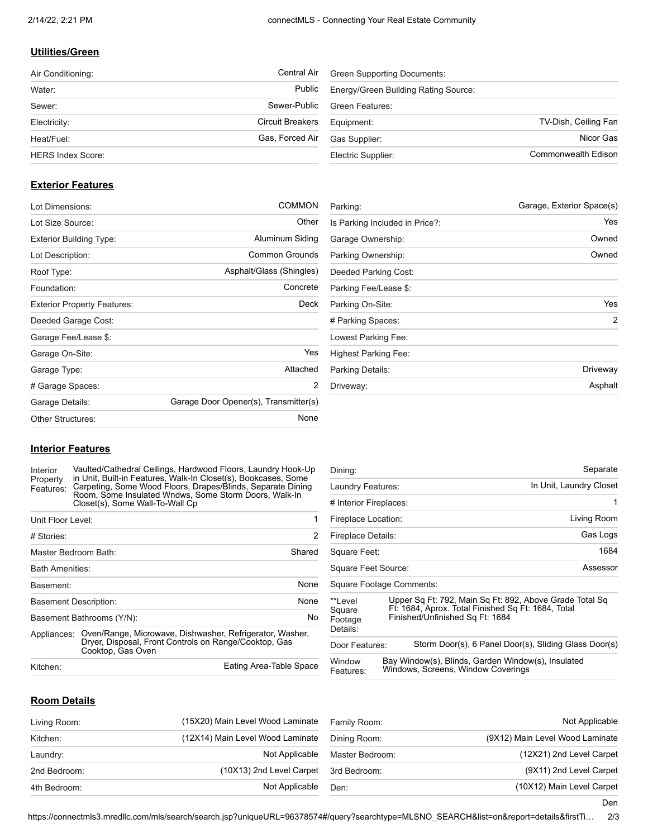## **Utilities/Green**

| Air Conditioning:        | <b>Central Air</b> |
|--------------------------|--------------------|
| Water:                   | Public             |
| Sewer:                   | Sewer-Public       |
| Electricity:             | Circuit Breakers   |
| Heat/Fuel:               | Gas, Forced Air    |
| <b>HERS Index Score:</b> |                    |

| <b>Green Supporting Documents:</b>   |                      |
|--------------------------------------|----------------------|
| Energy/Green Building Rating Source: |                      |
| Green Features:                      |                      |
| Equipment:                           | TV-Dish, Ceiling Fan |
| Gas Supplier:                        | Nicor Gas            |
| Electric Supplier:                   | Commonwealth Edison  |

#### **Exterior Features**

| Lot Dimensions:                    | <b>COMMON</b>                         |  |
|------------------------------------|---------------------------------------|--|
| Lot Size Source:                   | Other                                 |  |
| <b>Exterior Building Type:</b>     | Aluminum Siding                       |  |
| Lot Description:                   | Common Grounds                        |  |
| Roof Type:                         | Asphalt/Glass (Shingles)              |  |
| Foundation:                        | Concrete                              |  |
| <b>Exterior Property Features:</b> | Deck                                  |  |
| Deeded Garage Cost:                |                                       |  |
| Garage Fee/Lease \$:               |                                       |  |
| Garage On-Site:                    | <b>Yes</b>                            |  |
| Garage Type:                       | Attached                              |  |
| # Garage Spaces:                   | 2                                     |  |
| Garage Details:                    | Garage Door Opener(s), Transmitter(s) |  |
| Other Structures:                  | None                                  |  |

| Garage, Exterior Space(s)<br>Parking: |                |
|---------------------------------------|----------------|
| Is Parking Included in Price?:        | Yes            |
| Garage Ownership:                     | Owned          |
| Parking Ownership:                    | Owned          |
| Deeded Parking Cost:                  |                |
| Parking Fee/Lease \$:                 |                |
| Parking On-Site:                      | Yes            |
| # Parking Spaces:                     | $\overline{2}$ |
| Lowest Parking Fee:                   |                |
| Highest Parking Fee:                  |                |
| Parking Details:                      | Driveway       |
| Driveway:                             | Asphalt        |

#### **Interior Features**

Interior Property Features: Vaulted/Cathedral Ceilings, Hardwood Floors, Laundry Hook-Up in Unit, Built-in Features, Walk-In Closet(s), Bookcases, Some Carpeting, Some Wood Floors, Drapes/Blinds, Separate Dining Room, Some Insulated Wndws, Some Storm Doors, Walk-In Closet(s), Some Wall-To-Wall Cp

| Unit Floor Level:            |                                                                                                                                        |                         |
|------------------------------|----------------------------------------------------------------------------------------------------------------------------------------|-------------------------|
| # Stories:                   |                                                                                                                                        | 2                       |
| Master Bedroom Bath:         |                                                                                                                                        | Shared                  |
| <b>Bath Amenities:</b>       |                                                                                                                                        |                         |
| Basement:                    |                                                                                                                                        | <b>None</b>             |
| <b>Basement Description:</b> |                                                                                                                                        | None                    |
|                              | Basement Bathrooms (Y/N):                                                                                                              | No                      |
| Appliances:                  | Oven/Range, Microwave, Dishwasher, Refrigerator, Washer,<br>Dryer, Disposal, Front Controls on Range/Cooktop, Gas<br>Cooktop, Gas Oven |                         |
| Kitchen:                     |                                                                                                                                        | Eating Area-Table Space |

| Dining:                                   | Separate                                                                                                                                         |
|-------------------------------------------|--------------------------------------------------------------------------------------------------------------------------------------------------|
| Laundry Features:                         | In Unit, Laundry Closet                                                                                                                          |
| # Interior Fireplaces:                    | 1                                                                                                                                                |
| Fireplace Location:                       | Living Room                                                                                                                                      |
| Fireplace Details:                        | Gas Logs                                                                                                                                         |
| Square Feet:                              | 1684                                                                                                                                             |
| Square Feet Source:                       | Assessor                                                                                                                                         |
|                                           | Square Footage Comments:                                                                                                                         |
| **I evel<br>Square<br>Footage<br>Details: | Upper Sq Ft: 792, Main Sq Ft: 892, Above Grade Total Sq<br>Ft: 1684, Aprox. Total Finished Sq Ft: 1684, Total<br>Finished/Unfinished Sq Ft: 1684 |
| Door Features:                            | Storm Door(s), 6 Panel Door(s), Sliding Glass Door(s)                                                                                            |
| Window<br>Features:                       | Bay Window(s), Blinds, Garden Window(s), Insulated<br>Windows, Screens, Window Coverings                                                         |

## **Room Details**

| Living Room: | (15X20) Main Level Wood Laminate | Family Room:    | Not Applicable                  |
|--------------|----------------------------------|-----------------|---------------------------------|
| Kitchen:     | (12X14) Main Level Wood Laminate | Dining Room:    | (9X12) Main Level Wood Laminate |
| Laundry:     | Not Applicable                   | Master Bedroom: | (12X21) 2nd Level Carpet        |
| 2nd Bedroom: | (10X13) 2nd Level Carpet         | 3rd Bedroom:    | (9X11) 2nd Level Carpet         |
| 4th Bedroom: | Not Applicable                   | Den:            | (10X12) Main Level Carpet       |

Den

https://connectmls3.mredllc.com/mls/search/search.jsp?uniqueURL=96378574#/query?searchtype=MLSNO\_SEARCH&list=on&report=details&firstTi… 2/3